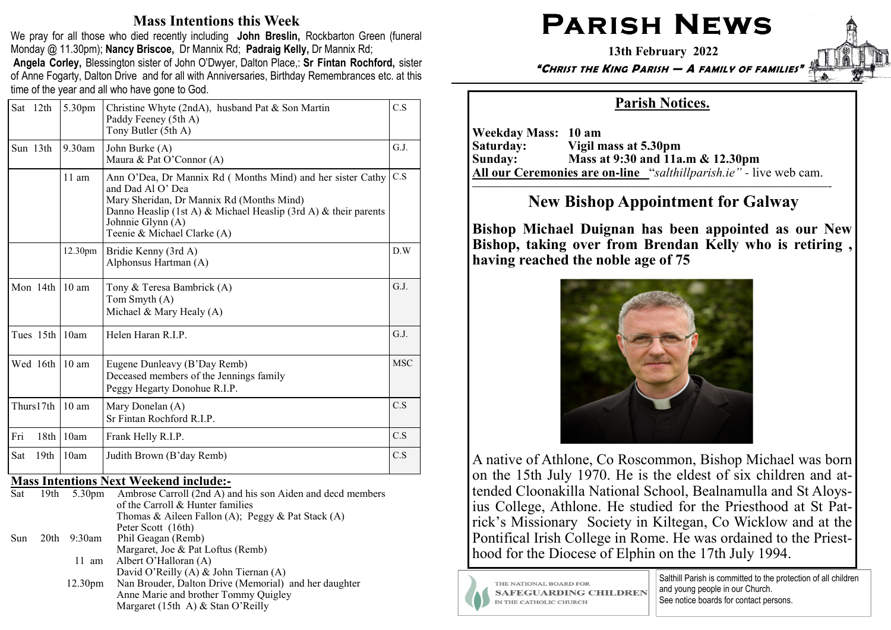### Mass Intentions this Week

We pray for all those who died recently including John Breslin, Rockbarton Green (funeral Monday @ 11.30pm); Nancy Briscoe, Dr Mannix Rd; Padraig Kelly, Dr Mannix Rd; Angela Corley, Blessington sister of John O'Dwyer, Dalton Place,: Sr Fintan Rochford, sister of Anne Fogarty, Dalton Drive and for all with Anniversaries, Birthday Remembrances etc. at this time of the year and all who have gone to God.

|     | Sat 12th         | 5.30pm              | Christine Whyte (2ndA), husband Pat & Son Martin<br>Paddy Feeney (5th A)<br>Tony Butler (5th A)                                                                                                                                                     | C.S        |
|-----|------------------|---------------------|-----------------------------------------------------------------------------------------------------------------------------------------------------------------------------------------------------------------------------------------------------|------------|
|     | Sun 13th         | $9.30$ am           | John Burke (A)<br>Maura & Pat O'Connor (A)                                                                                                                                                                                                          | G.J.       |
|     |                  | $11$ am             | Ann O'Dea, Dr Mannix Rd (Months Mind) and her sister Cathy<br>and Dad Al O' Dea<br>Mary Sheridan, Dr Mannix Rd (Months Mind)<br>Danno Heaslip (1st A) & Michael Heaslip (3rd A) & their parents<br>Johnnie Glynn (A)<br>Teenie & Michael Clarke (A) | C.S        |
|     |                  | 12.30 <sub>pm</sub> | Bridie Kenny (3rd A)<br>Alphonsus Hartman (A)                                                                                                                                                                                                       | D.W        |
|     | Mon 14th         | $10 \text{ am}$     | Tony & Teresa Bambrick (A)<br>Tom Smyth (A)<br>Michael & Mary Healy (A)                                                                                                                                                                             | G.J.       |
|     | Tues $15th$ 10am |                     | Helen Haran R.I.P.                                                                                                                                                                                                                                  | G.J.       |
|     | Wed 16th         | $10 \text{ am}$     | Eugene Dunleavy (B'Day Remb)<br>Deceased members of the Jennings family<br>Peggy Hegarty Donohue R.I.P.                                                                                                                                             | <b>MSC</b> |
|     | Thurs17th        | $10 \text{ am}$     | Mary Donelan (A)<br>Sr Fintan Rochford R.I.P.                                                                                                                                                                                                       | C.S        |
| Fri | 18th             | 10am                | Frank Helly R.I.P.                                                                                                                                                                                                                                  | C.S        |
| Sat | 19 <sub>th</sub> | 10am                | Judith Brown (B'day Remb)                                                                                                                                                                                                                           | C.S        |

### Mass Intentions Next Weekend include:**-**

| Sat |                  | 19th 5.30pm         | Ambrose Carroll (2nd A) and his son Aiden and decd members |
|-----|------------------|---------------------|------------------------------------------------------------|
|     |                  |                     | of the Carroll & Hunter families                           |
|     |                  |                     | Thomas & Aileen Fallon (A); Peggy & Pat Stack (A)          |
|     |                  |                     | Peter Scott (16th)                                         |
| Sun | 20 <sup>th</sup> | $9:30$ am           | Phil Geagan (Remb)                                         |
|     |                  |                     | Margaret, Joe & Pat Loftus (Remb)                          |
|     |                  | $11 \text{ am}$     | Albert O'Halloran (A)                                      |
|     |                  |                     | David O'Reilly (A) & John Tiernan (A)                      |
|     |                  | 12.30 <sub>pm</sub> | Nan Brouder, Dalton Drive (Memorial) and her daughter      |
|     |                  |                     | Anne Marie and brother Tommy Quigley                       |
|     |                  |                     | Margaret (15th A) $&$ Stan O'Reilly                        |

# $\mathsf{PARISH}\ \mathsf{NEWS}\ \mathsf{P}$

13th February 2022

"CHRIST THE KING PARISH — A FAMILY OF FAMILIES"



## Parish Notices.

Weekday Mass: 10 am Saturday: Vigil mass at 5.30pm Sunday: Mass at 9:30 and 11a.m & 12.30pm All our Ceremonies are on**-**line "salthillparish.ie" *-* live web cam.

————————————————————————————-

# New Bishop Appointment for Galway

Bishop Michael Duignan has been appointed as our New Bishop, taking over from Brendan Kelly who is retiring , having reached the noble age of 75



A native of Athlone, Co Roscommon, Bishop Michael was born on the 15th July 1970. He is the eldest of six children and attended Cloonakilla National School, Bealnamulla and St Aloysius College, Athlone. He studied for the Priesthood at St Patrick's Missionary Society in Kiltegan, Co Wicklow and at the Pontifical Irish College in Rome. He was ordained to the Priesthood for the Diocese of Elphin on the 17th July 1994.



THE NATIONAL BOARD FOR **SAFEGUARDING CHILDREN** IN THE CATHOLIC CHURCH

Salthill Parish is committed to the protection of all children and young people in our Church. See notice boards for contact persons.